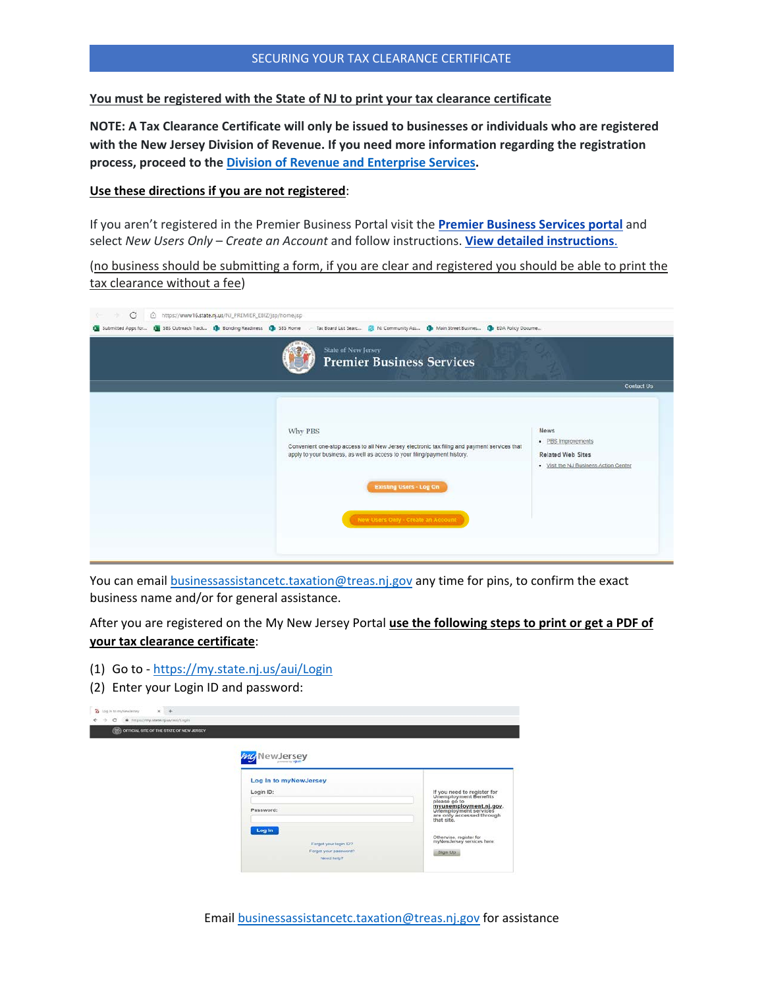### SECURING YOUR TAX CLEARANCE CERTIFICATE

**You must be registered with the State of NJ to print your tax clearance certificate** 

**NOTE: A Tax Clearance Certificate will only be issued to businesses or individuals who are registered with the New Jersey Division of Revenue. If you need more information regarding the registration process, proceed to the [Division of Revenue and Enterprise Services.](https://www.state.nj.us/treasury/revenue/gettingregistered.shtml)**

#### **Use these directions if you are not registered**:

If you aren't registered in the Premier Business Portal visit the **[Premier Business Services portal](https://www16.state.nj.us/NJ_PREMIER_EBIZ/jsp/home.jsp)** and select *New Users Only* – *Create an Account* and follow instructions. **[View detailed instructions](https://www.state.nj.us/treasury/contract_compliance/documents/pdf/PBS-Introduction-Page.pdf)**.

(no business should be submitting a form, if you are clear and registered you should be able to print the tax clearance without a fee)

| ٠<br>C<br>ß.<br>https://www16.state.nj.us/NJ_PREMIER_EBIZ/jsp/home.jsp |                                                                                                                                                                                                                                                              |                                                                                                        |
|------------------------------------------------------------------------|--------------------------------------------------------------------------------------------------------------------------------------------------------------------------------------------------------------------------------------------------------------|--------------------------------------------------------------------------------------------------------|
|                                                                        | Submitted Apps for (3 585 Outreach Track (3 Bonding Readmess (3 585 Home - Tax Board List Searc (3 NJ Community Ass (3 Main Street Busines (3 EDA Policy Docume                                                                                              |                                                                                                        |
|                                                                        | <b>State of New Jersey</b><br><b>Premier Business Services</b>                                                                                                                                                                                               |                                                                                                        |
|                                                                        |                                                                                                                                                                                                                                                              | <b>Contact Us</b>                                                                                      |
|                                                                        | Why PBS<br>Convenient one-stop access to all New Jersey electronic tax filing and payment services that<br>apply to your business, as well as access to your filing/payment history.<br><b>Existing Users - Log On</b><br>New Users Only - Create an Account | <b>News</b><br>· PBS Improvements<br><b>Related Web Sites</b><br>. Visit the NJ Business Action Center |

You can email [businessassistancetc.taxation@treas.nj.gov](mailto:businessassistancetc.taxation@treas.nj.gov) any time for pins, to confirm the exact business name and/or for general assistance.

After you are registered on the My New Jersey Portal **use the following steps to print or get a PDF of your tax clearance certificate**:

- (1) Go to <https://my.state.nj.us/aui/Login>
- (2) Enter your Login ID and password:

| (TT) OFFICIAL SITE OF THE STATE OF NEW JERSEY |                       |                                                                                                                                                      |
|-----------------------------------------------|-----------------------|------------------------------------------------------------------------------------------------------------------------------------------------------|
|                                               |                       |                                                                                                                                                      |
|                                               | my NewJersey          |                                                                                                                                                      |
|                                               | Log In to myNewJersey |                                                                                                                                                      |
|                                               | Login ID:             |                                                                                                                                                      |
|                                               | Password:             | If you need to register for<br>Unemployment Benefits<br>please go to<br>myunemployment.nj.gov.<br>Unemployment services<br>are only accessed through |
|                                               | Log In                | that site.                                                                                                                                           |
|                                               | Forgot your login ID? | Otherwise, register for<br>myNewJersey services here.                                                                                                |
|                                               | Forgot your password? | Sign Up.                                                                                                                                             |

Email [businessassistancetc.taxation@treas.nj.gov](mailto:businessassistancetc.taxation@treas.nj.gov) for assistance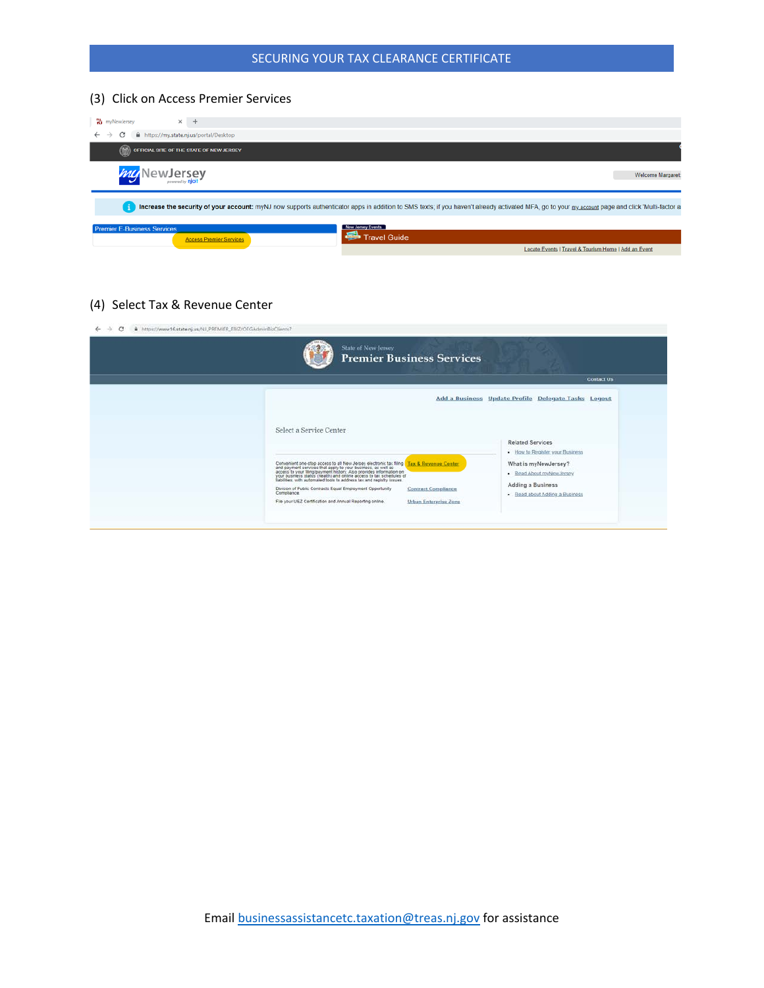# SECURING YOUR TAX CLEARANCE CERTIFICATE

# (3) Click on Access Premier Services

| <b>W</b> myNewJersey<br>$\times$<br>$+$                                  |                                                                                                                                                                                                   |
|--------------------------------------------------------------------------|---------------------------------------------------------------------------------------------------------------------------------------------------------------------------------------------------|
| C<br>https://my.state.nj.us/portal/Desktop<br>$\leftarrow$ $\rightarrow$ |                                                                                                                                                                                                   |
| OFFICIAL SITE OF THE STATE OF NEW JERSEY                                 |                                                                                                                                                                                                   |
| New Jersey                                                               | Welcome Margaret:                                                                                                                                                                                 |
|                                                                          | Increase the security of your account: myNJ now supports authenticator apps in addition to SMS texts; if you haven't already activated MFA, go to your my account page and click 'Multi-factor ar |
| <b>Premier E-Business Services</b><br><b>Access Premier Services</b>     | Now Jersey Events<br><b>Travel Guide</b>                                                                                                                                                          |
|                                                                          | Locate Events   Travel & Tourism Home   Add an Event                                                                                                                                              |

(4) Select Tax & Revenue Center

| <b>State of New Jersey</b><br><b>Premier Business Services</b>                                                                                                                                                                          |                                                            |
|-----------------------------------------------------------------------------------------------------------------------------------------------------------------------------------------------------------------------------------------|------------------------------------------------------------|
|                                                                                                                                                                                                                                         | <b>Contact Us</b>                                          |
|                                                                                                                                                                                                                                         | Add a Business Update Profile Delegate Tasks Logout        |
| Select a Service Center                                                                                                                                                                                                                 | <b>Related Services</b><br>· How to Register your Business |
| Convenient one-stop access to all New Jersey electronic tax filing (Tax & Revenue Center)<br>and payment services that apply to your business, as well as<br>access to your filing payment history. Also provides information on<br>you | What is myNewJersey?<br>- Read About myNewJersey           |
| Division of Public Contracts Equal Employment Opportunity<br><b>Contract Compliance</b><br>Compliance.<br>File your UEZ Certification and Annual Reporting online.<br><b>Urban Enterprise Zone</b>                                      | <b>Adding a Business</b><br>- Read about Adding a Business |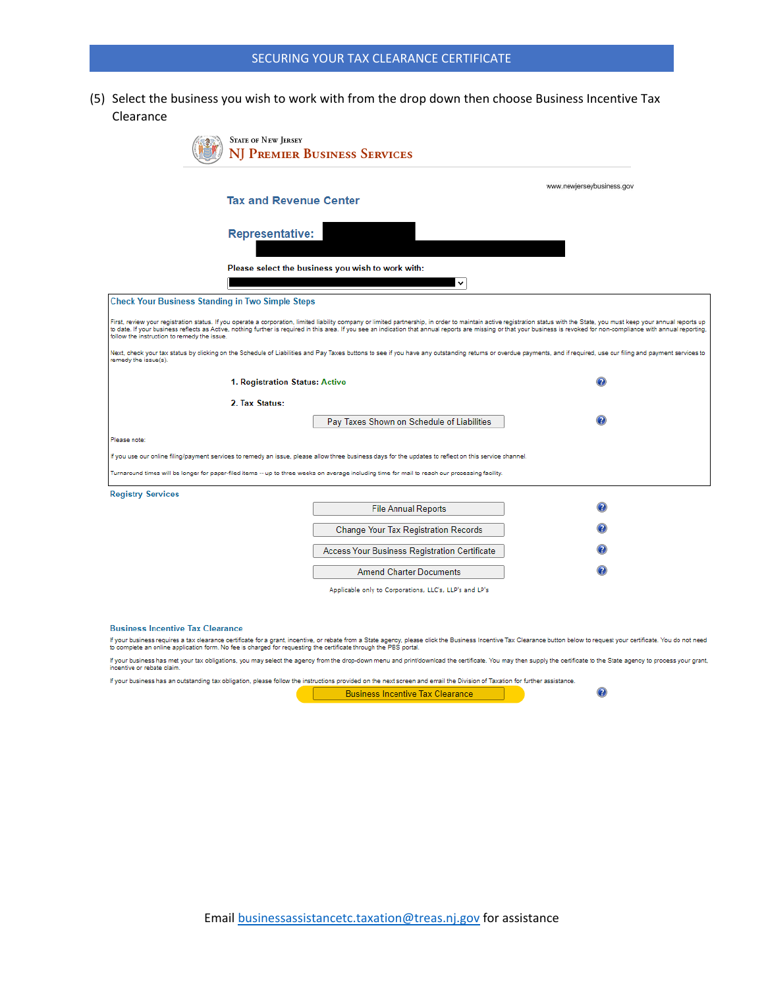(5) Select the business you wish to work with from the drop down then choose Business Incentive Tax Clearance

| <b>STATE OF NEW JERSEY</b>                                                                                                                                                                                                                                                                                                                                                                                                                                                                                | NJ Premier Business Services                           |                           |  |
|-----------------------------------------------------------------------------------------------------------------------------------------------------------------------------------------------------------------------------------------------------------------------------------------------------------------------------------------------------------------------------------------------------------------------------------------------------------------------------------------------------------|--------------------------------------------------------|---------------------------|--|
|                                                                                                                                                                                                                                                                                                                                                                                                                                                                                                           |                                                        | www.newjerseybusiness.gov |  |
| <b>Tax and Revenue Center</b>                                                                                                                                                                                                                                                                                                                                                                                                                                                                             |                                                        |                           |  |
| <b>Representative:</b>                                                                                                                                                                                                                                                                                                                                                                                                                                                                                    |                                                        |                           |  |
|                                                                                                                                                                                                                                                                                                                                                                                                                                                                                                           | Please select the business you wish to work with:      |                           |  |
|                                                                                                                                                                                                                                                                                                                                                                                                                                                                                                           | $\checkmark$                                           |                           |  |
| <b>Check Your Business Standing in Two Simple Steps</b>                                                                                                                                                                                                                                                                                                                                                                                                                                                   |                                                        |                           |  |
| First, review your registration status. If you operate a corporation, limited liability company or limited partnership, in order to maintain active registration status with the State, you must keep your annual reports up<br>to date. If your business reflects as Active, nothing further is required in this area. If you see an indication that annual reports are missing or that your business is revoked for non-compliance with annual reporting<br>follow the instruction to remedy the issue. |                                                        |                           |  |
| Next, check your tax status by clicking on the Schedule of Liabilities and Pay Taxes buttons to see if you have any outstanding returns or overdue payments, and if required, use our filing and payment services to<br>remedy the issue(s).                                                                                                                                                                                                                                                              |                                                        |                           |  |
| 1. Registration Status: Active                                                                                                                                                                                                                                                                                                                                                                                                                                                                            |                                                        |                           |  |
| 2. Tax Status:                                                                                                                                                                                                                                                                                                                                                                                                                                                                                            |                                                        |                           |  |
|                                                                                                                                                                                                                                                                                                                                                                                                                                                                                                           | Pay Taxes Shown on Schedule of Liabilities             |                           |  |
| Please note:                                                                                                                                                                                                                                                                                                                                                                                                                                                                                              |                                                        |                           |  |
| If you use our online filing/payment services to remedy an issue, please allow three business days for the updates to reflect on this service channel.                                                                                                                                                                                                                                                                                                                                                    |                                                        |                           |  |
| Turnaround times will be longer for paper-filed items -- up to three weeks on average including time for mail to reach our processing facility.                                                                                                                                                                                                                                                                                                                                                           |                                                        |                           |  |
| <b>Registry Services</b>                                                                                                                                                                                                                                                                                                                                                                                                                                                                                  |                                                        |                           |  |
|                                                                                                                                                                                                                                                                                                                                                                                                                                                                                                           | <b>File Annual Reports</b>                             |                           |  |
|                                                                                                                                                                                                                                                                                                                                                                                                                                                                                                           | <b>Change Your Tax Registration Records</b>            |                           |  |
|                                                                                                                                                                                                                                                                                                                                                                                                                                                                                                           | Access Your Business Registration Certificate          |                           |  |
|                                                                                                                                                                                                                                                                                                                                                                                                                                                                                                           | <b>Amend Charter Documents</b>                         |                           |  |
|                                                                                                                                                                                                                                                                                                                                                                                                                                                                                                           | Applicable only to Corporations, LLC's, LLP's and LP's |                           |  |

#### **Business Incentive Tax Clearance**

If your business requires a tax clearance certificate for a grant, incentive, or rebate from a State agency, please click the Business Incentive Tax Clearance button below to request your certificate. You do not need<br>to co

If your business has met your tax obligations, you may select the agency from the drop-down menu and print/download the certificate. You may then supply the certificate to the State agency to process your grant,<br>incentive

If your business has an outstanding tax obligation, please follow the instructions provided on the next screen and email the Division of Taxation for further assistance.

**Business Incentive Tax Clearance** 

 $\overline{2}$